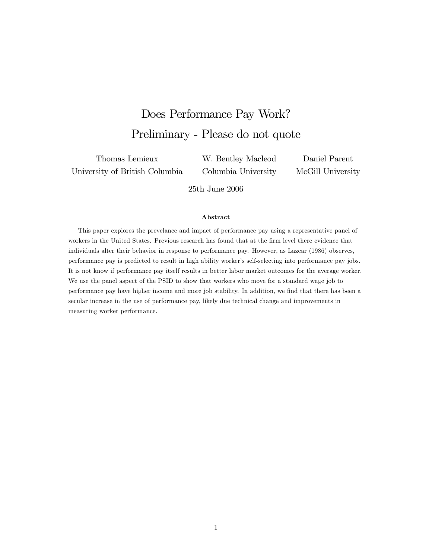# Does Performance Pay Work? Preliminary - Please do not quote

Thomas Lemieux University of British Columbia W. Bentley Macleod Columbia University

Daniel Parent McGill University

25th June 2006

#### Abstract

This paper explores the prevelance and impact of performance pay using a representative panel of workers in the United States. Previous research has found that at the firm level there evidence that individuals alter their behavior in response to performance pay. However, as Lazear (1986) observes, performance pay is predicted to result in high ability worker's self-selecting into performance pay jobs. It is not know if performance pay itself results in better labor market outcomes for the average worker. We use the panel aspect of the PSID to show that workers who move for a standard wage job to performance pay have higher income and more job stability. In addition, we find that there has been a secular increase in the use of performance pay, likely due technical change and improvements in measuring worker performance.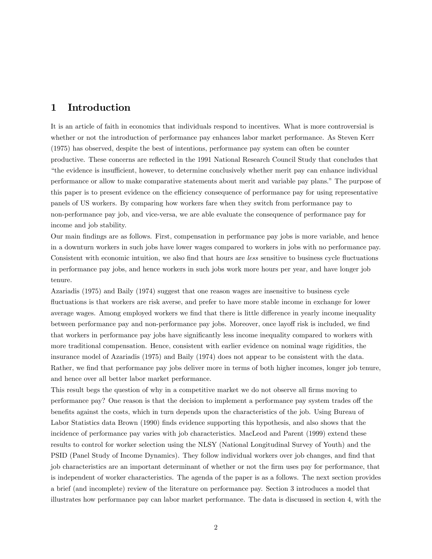## 1 Introduction

It is an article of faith in economics that individuals respond to incentives. What is more controversial is whether or not the introduction of performance pay enhances labor market performance. As Steven Kerr (1975) has observed, despite the best of intentions, performance pay system can often be counter productive. These concerns are reáected in the 1991 National Research Council Study that concludes that ìthe evidence is insu¢ cient, however, to determine conclusively whether merit pay can enhance individual performance or allow to make comparative statements about merit and variable pay plans." The purpose of this paper is to present evidence on the efficiency consequence of performance pay for using representative panels of US workers. By comparing how workers fare when they switch from performance pay to non-performance pay job, and vice-versa, we are able evaluate the consequence of performance pay for income and job stability.

Our main Öndings are as follows. First, compensation in performance pay jobs is more variable, and hence in a downturn workers in such jobs have lower wages compared to workers in jobs with no performance pay. Consistent with economic intuition, we also find that hours are *less* sensitive to business cycle fluctuations in performance pay jobs, and hence workers in such jobs work more hours per year, and have longer job tenure.

Azariadis (1975) and Baily (1974) suggest that one reason wages are insensitive to business cycle fluctuations is that workers are risk averse, and prefer to have more stable income in exchange for lower average wages. Among employed workers we find that there is little difference in yearly income inequality between performance pay and non-performance pay jobs. Moreover, once layoff risk is included, we find that workers in performance pay jobs have significantly less income inequality compared to workers with more traditional compensation. Hence, consistent with earlier evidence on nominal wage rigidities, the insurance model of Azariadis (1975) and Baily (1974) does not appear to be consistent with the data. Rather, we find that performance pay jobs deliver more in terms of both higher incomes, longer job tenure, and hence over all better labor market performance.

This result begs the question of why in a competitive market we do not observe all firms moving to performance pay? One reason is that the decision to implement a performance pay system trades off the benefits against the costs, which in turn depends upon the characteristics of the job. Using Bureau of Labor Statistics data Brown (1990) Önds evidence supporting this hypothesis, and also shows that the incidence of performance pay varies with job characteristics. MacLeod and Parent (1999) extend these results to control for worker selection using the NLSY (National Longitudinal Survey of Youth) and the PSID (Panel Study of Income Dynamics). They follow individual workers over job changes, and find that job characteristics are an important determinant of whether or not the Örm uses pay for performance, that is independent of worker characteristics. The agenda of the paper is as a follows. The next section provides a brief (and incomplete) review of the literature on performance pay. Section 3 introduces a model that illustrates how performance pay can labor market performance. The data is discussed in section 4, with the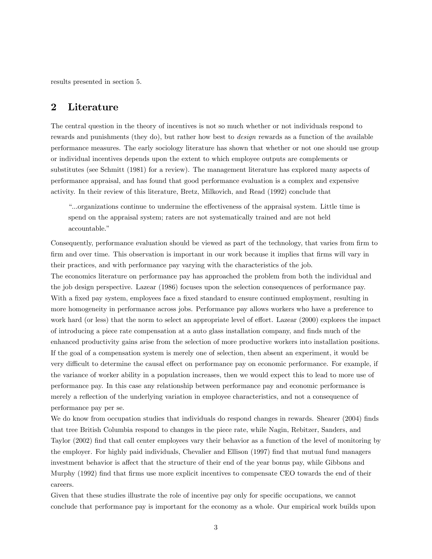results presented in section 5.

## 2 Literature

The central question in the theory of incentives is not so much whether or not individuals respond to rewards and punishments (they do), but rather how best to design rewards as a function of the available performance measures. The early sociology literature has shown that whether or not one should use group or individual incentives depends upon the extent to which employee outputs are complements or substitutes (see Schmitt (1981) for a review). The management literature has explored many aspects of performance appraisal, and has found that good performance evaluation is a complex and expensive activity. In their review of this literature, Bretz, Milkovich, and Read (1992) conclude that

ì...organizations continue to undermine the e§ectiveness of the appraisal system. Little time is spend on the appraisal system; raters are not systematically trained and are not held accountable."

Consequently, performance evaluation should be viewed as part of the technology, that varies from firm to firm and over time. This observation is important in our work because it implies that firms will vary in their practices, and with performance pay varying with the characteristics of the job.

The economics literature on performance pay has approached the problem from both the individual and the job design perspective. Lazear (1986) focuses upon the selection consequences of performance pay. With a fixed pay system, employees face a fixed standard to ensure continued employment, resulting in more homogeneity in performance across jobs. Performance pay allows workers who have a preference to work hard (or less) that the norm to select an appropriate level of effort. Lazear  $(2000)$  explores the impact of introducing a piece rate compensation at a auto glass installation company, and Önds much of the enhanced productivity gains arise from the selection of more productive workers into installation positions. If the goal of a compensation system is merely one of selection, then absent an experiment, it would be very difficult to determine the causal effect on performance pay on economic performance. For example, if the variance of worker ability in a population increases, then we would expect this to lead to more use of performance pay. In this case any relationship between performance pay and economic performance is merely a reflection of the underlying variation in employee characteristics, and not a consequence of performance pay per se.

We do know from occupation studies that individuals do respond changes in rewards. Shearer (2004) finds that tree British Columbia respond to changes in the piece rate, while Nagin, Rebitzer, Sanders, and Taylor (2002) Önd that call center employees vary their behavior as a function of the level of monitoring by the employer. For highly paid individuals, Chevalier and Ellison (1997) Önd that mutual fund managers investment behavior is affect that the structure of their end of the year bonus pay, while Gibbons and Murphy (1992) find that firms use more explicit incentives to compensate CEO towards the end of their careers.

Given that these studies illustrate the role of incentive pay only for specific occupations, we cannot conclude that performance pay is important for the economy as a whole. Our empirical work builds upon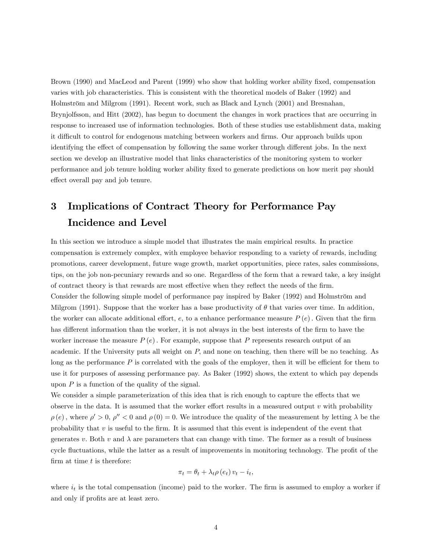Brown (1990) and MacLeod and Parent (1999) who show that holding worker ability fixed, compensation varies with job characteristics. This is consistent with the theoretical models of Baker (1992) and Holmström and Milgrom (1991). Recent work, such as Black and Lynch (2001) and Bresnahan, Brynjolfsson, and Hitt (2002), has begun to document the changes in work practices that are occurring in response to increased use of information technologies. Both of these studies use establishment data, making it difficult to control for endogenous matching between workers and firms. Our approach builds upon identifying the effect of compensation by following the same worker through different jobs. In the next section we develop an illustrative model that links characteristics of the monitoring system to worker performance and job tenure holding worker ability Öxed to generate predictions on how merit pay should effect overall pay and job tenure.

## 3 Implications of Contract Theory for Performance Pay Incidence and Level

In this section we introduce a simple model that illustrates the main empirical results. In practice compensation is extremely complex, with employee behavior responding to a variety of rewards, including promotions, career development, future wage growth, market opportunities, piece rates, sales commissions, tips, on the job non-pecuniary rewards and so one. Regardless of the form that a reward take, a key insight of contract theory is that rewards are most effective when they reflect the needs of the firm. Consider the following simple model of performance pay inspired by Baker (1992) and Holmström and Milgrom (1991). Suppose that the worker has a base productivity of  $\theta$  that varies over time. In addition, the worker can allocate additional effort, e, to a enhance performance measure  $P(e)$ . Given that the firm has different information than the worker, it is not always in the best interests of the firm to have the worker increase the measure  $P(e)$ . For example, suppose that P represents research output of an academic. If the University puts all weight on P; and none on teaching, then there will be no teaching. As long as the performance  $P$  is correlated with the goals of the employer, then it will be efficient for them to use it for purposes of assessing performance pay. As Baker (1992) shows, the extent to which pay depends upon  $P$  is a function of the quality of the signal.

We consider a simple parameterization of this idea that is rich enough to capture the effects that we observe in the data. It is assumed that the worker effort results in a measured output  $v$  with probability  $\rho(e)$ , where  $\rho' > 0$ ,  $\rho'' < 0$  and  $\rho(0) = 0$ . We introduce the quality of the measurement by letting  $\lambda$  be the probability that  $v$  is useful to the firm. It is assumed that this event is independent of the event that generates v. Both v and  $\lambda$  are parameters that can change with time. The former as a result of business cycle fluctuations, while the latter as a result of improvements in monitoring technology. The profit of the firm at time  $t$  is therefore:

$$
\pi_t = \theta_t + \lambda_t \rho(e_t) v_t - i_t,
$$

where  $i_t$  is the total compensation (income) paid to the worker. The firm is assumed to employ a worker if and only if profits are at least zero.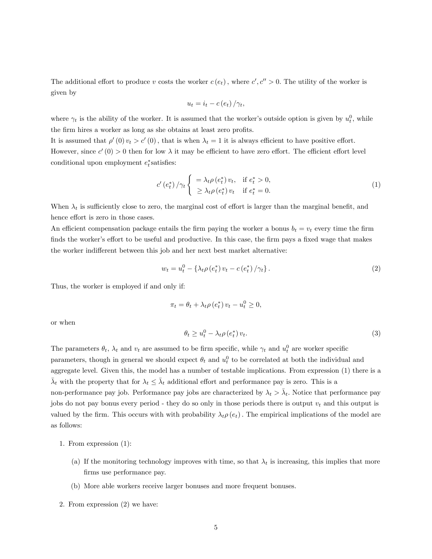The additional effort to produce v costs the worker  $c(e_t)$ , where  $c', c'' > 0$ . The utility of the worker is given by

$$
u_t = i_t - c(e_t) / \gamma_t,
$$

where  $\gamma_t$  is the ability of the worker. It is assumed that the worker's outside option is given by  $u_t^0$ , while the firm hires a worker as long as she obtains at least zero profits.

It is assumed that  $\rho'(0) v_t > c'(0)$ , that is when  $\lambda_t = 1$  it is always efficient to have positive effort. However, since  $c'(0) > 0$  then for low  $\lambda$  it may be efficient to have zero effort. The efficient effort level conditional upon employment  $e_t^*$  satisfies:

$$
c'(e_t^*) / \gamma_t \begin{cases} = \lambda_t \rho(e_t^*) v_t, & \text{if } e_t^* > 0, \\ \geq \lambda_t \rho(e_t^*) v_t & \text{if } e_t^* = 0. \end{cases}
$$
 (1)

When  $\lambda_t$  is sufficiently close to zero, the marginal cost of effort is larger than the marginal benefit, and hence effort is zero in those cases.

An efficient compensation package entails the firm paying the worker a bonus  $b_t = v_t$  every time the firm finds the worker's effort to be useful and productive. In this case, the firm pays a fixed wage that makes the worker indifferent between this job and her next best market alternative:

$$
w_t = u_t^0 - \left\{ \lambda_t \rho \left( e_t^* \right) v_t - c \left( e_t^* \right) / \gamma_t \right\}.
$$
\n
$$
(2)
$$

Thus, the worker is employed if and only if:

$$
\pi_t = \theta_t + \lambda_t \rho(e_t^*) v_t - u_t^0 \ge 0,
$$

or when

$$
\theta_t \ge u_t^0 - \lambda_t \rho \left(e_t^*\right) v_t. \tag{3}
$$

The parameters  $\theta_t$ ,  $\lambda_t$  and  $v_t$  are assumed to be firm specific, while  $\gamma_t$  and  $u_t^0$  are worker specific parameters, though in general we should expect  $\theta_t$  and  $u_t^0$  to be correlated at both the individual and aggregate level. Given this, the model has a number of testable implications. From expression (1) there is a  $\bar{\lambda}_t$  with the property that for  $\lambda_t \leq \bar{\lambda}_t$  additional effort and performance pay is zero. This is a non-performance pay job. Performance pay jobs are characterized by  $\lambda_t > \bar{\lambda}_t$ . Notice that performance pay jobs do not pay bonus every period - they do so only in those periods there is output  $v_t$  and this output is valued by the firm. This occurs with with probability  $\lambda_t \rho(e_t)$ . The empirical implications of the model are as follows:

- 1. From expression (1):
	- (a) If the monitoring technology improves with time, so that  $\lambda_t$  is increasing, this implies that more firms use performance pay.
	- (b) More able workers receive larger bonuses and more frequent bonuses.
- 2. From expression (2) we have: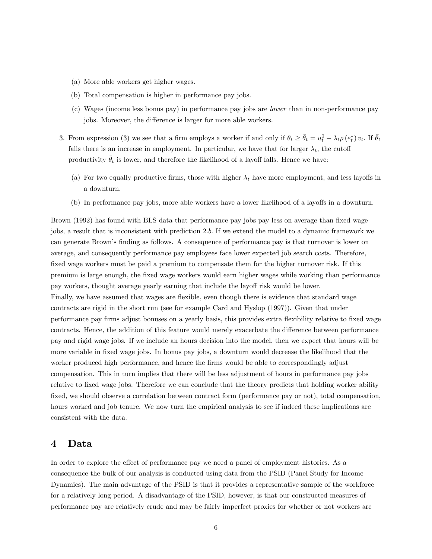- (a) More able workers get higher wages.
- (b) Total compensation is higher in performance pay jobs.
- (c) Wages (income less bonus pay) in performance pay jobs are lower than in non-performance pay jobs. Moreover, the difference is larger for more able workers.
- 3. From expression (3) we see that a firm employs a worker if and only if  $\theta_t \ge \bar{\theta}_t = u_t^0 \lambda_t \rho(e_t^*) v_t$ . If  $\bar{\theta}_t$ falls there is an increase in employment. In particular, we have that for larger  $\lambda_t$ , the cutoff productivity  $\theta_t$  is lower, and therefore the likelihood of a layoff falls. Hence we have:
	- (a) For two equally productive firms, those with higher  $\lambda_t$  have more employment, and less layoffs in a downturn.
	- (b) In performance pay jobs, more able workers have a lower likelihood of a layoffs in a downturn.

Brown (1992) has found with BLS data that performance pay jobs pay less on average than fixed wage jobs, a result that is inconsistent with prediction 2:b: If we extend the model to a dynamic framework we can generate Brown's finding as follows. A consequence of performance pay is that turnover is lower on average, and consequently performance pay employees face lower expected job search costs. Therefore, fixed wage workers must be paid a premium to compensate them for the higher turnover risk. If this premium is large enough, the Öxed wage workers would earn higher wages while working than performance pay workers, thought average yearly earning that include the layoff risk would be lower. Finally, we have assumed that wages are flexible, even though there is evidence that standard wage contracts are rigid in the short run (see for example Card and Hyslop (1997)). Given that under performance pay Örms adjust bonuses on a yearly basis, this provides extra áexibility relative to Öxed wage contracts. Hence, the addition of this feature would merely exacerbate the difference between performance pay and rigid wage jobs. If we include an hours decision into the model, then we expect that hours will be more variable in fixed wage jobs. In bonus pay jobs, a downturn would decrease the likelihood that the worker produced high performance, and hence the firms would be able to correspondingly adjust compensation. This in turn implies that there will be less adjustment of hours in performance pay jobs relative to fixed wage jobs. Therefore we can conclude that the theory predicts that holding worker ability fixed, we should observe a correlation between contract form (performance pay or not), total compensation, hours worked and job tenure. We now turn the empirical analysis to see if indeed these implications are consistent with the data.

### 4 Data

In order to explore the effect of performance pay we need a panel of employment histories. As a consequence the bulk of our analysis is conducted using data from the PSID (Panel Study for Income Dynamics). The main advantage of the PSID is that it provides a representative sample of the workforce for a relatively long period. A disadvantage of the PSID, however, is that our constructed measures of performance pay are relatively crude and may be fairly imperfect proxies for whether or not workers are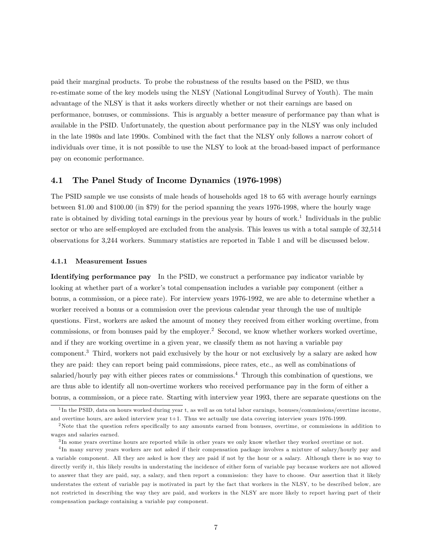paid their marginal products. To probe the robustness of the results based on the PSID, we thus re-estimate some of the key models using the NLSY (National Longitudinal Survey of Youth). The main advantage of the NLSY is that it asks workers directly whether or not their earnings are based on performance, bonuses, or commissions. This is arguably a better measure of performance pay than what is available in the PSID. Unfortunately, the question about performance pay in the NLSY was only included in the late 1980s and late 1990s. Combined with the fact that the NLSY only follows a narrow cohort of individuals over time, it is not possible to use the NLSY to look at the broad-based impact of performance pay on economic performance.

#### 4.1 The Panel Study of Income Dynamics (1976-1998)

The PSID sample we use consists of male heads of households aged 18 to 65 with average hourly earnings between \$1.00 and \$100.00 (in \$79) for the period spanning the years 1976-1998, where the hourly wage rate is obtained by dividing total earnings in the previous year by hours of work.<sup>1</sup> Individuals in the public sector or who are self-employed are excluded from the analysis. This leaves us with a total sample of 32,514 observations for 3,244 workers. Summary statistics are reported in Table 1 and will be discussed below.

#### 4.1.1 Measurement Issues

Identifying performance pay In the PSID, we construct a performance pay indicator variable by looking at whether part of a worker's total compensation includes a variable pay component (either a bonus, a commission, or a piece rate). For interview years 1976-1992, we are able to determine whether a worker received a bonus or a commission over the previous calendar year through the use of multiple questions. First, workers are asked the amount of money they received from either working overtime, from commissions, or from bonuses paid by the employer.<sup>2</sup> Second, we know whether workers worked overtime, and if they are working overtime in a given year, we classify them as not having a variable pay component.<sup>3</sup> Third, workers not paid exclusively by the hour or not exclusively by a salary are asked how they are paid: they can report being paid commissions, piece rates, etc., as well as combinations of salaried/hourly pay with either pieces rates or commissions.<sup>4</sup> Through this combination of questions, we are thus able to identify all non-overtime workers who received performance pay in the form of either a bonus, a commission, or a piece rate. Starting with interview year 1993, there are separate questions on the

<sup>&</sup>lt;sup>1</sup>In the PSID, data on hours worked during year t, as well as on total labor earnings, bonuses/commissions/overtime income, and overtime hours, are asked interview year t+1. Thus we actually use data covering interview years 1976-1999.

<sup>&</sup>lt;sup>2</sup>Note that the question refers specifically to any amounts earned from bonuses, overtime, or commissions in addition to wages and salaries earned.

<sup>&</sup>lt;sup>3</sup>In some years overtime hours are reported while in other years we only know whether they worked overtime or not.

<sup>4</sup> In many survey years workers are not asked if their compensation package involves a mixture of salary/hourly pay and a variable component. All they are asked is how they are paid if not by the hour or a salary. Although there is no way to directly verify it, this likely results in understating the incidence of either form of variable pay because workers are not allowed to answer that they are paid, say, a salary, and then report a commission: they have to choose. Our assertion that it likely understates the extent of variable pay is motivated in part by the fact that workers in the NLSY, to be described below, are not restricted in describing the way they are paid, and workers in the NLSY are more likely to report having part of their compensation package containing a variable pay component.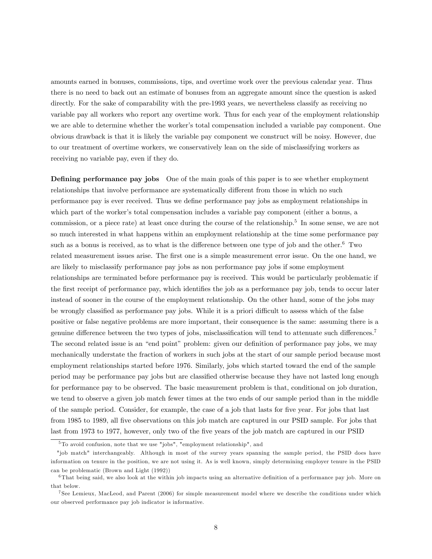amounts earned in bonuses, commissions, tips, and overtime work over the previous calendar year. Thus there is no need to back out an estimate of bonuses from an aggregate amount since the question is asked directly. For the sake of comparability with the pre-1993 years, we nevertheless classify as receiving no variable pay all workers who report any overtime work. Thus for each year of the employment relationship we are able to determine whether the worker's total compensation included a variable pay component. One obvious drawback is that it is likely the variable pay component we construct will be noisy. However, due to our treatment of overtime workers, we conservatively lean on the side of misclassifying workers as receiving no variable pay, even if they do.

Defining performance pay jobs One of the main goals of this paper is to see whether employment relationships that involve performance are systematically different from those in which no such performance pay is ever received. Thus we define performance pay jobs as employment relationships in which part of the worker's total compensation includes a variable pay component (either a bonus, a commission, or a piece rate) at least once during the course of the relationship.<sup>5</sup> In some sense, we are not so much interested in what happens within an employment relationship at the time some performance pay such as a bonus is received, as to what is the difference between one type of job and the other.<sup>6</sup> Two related measurement issues arise. The first one is a simple measurement error issue. On the one hand, we are likely to misclassify performance pay jobs as non performance pay jobs if some employment relationships are terminated before performance pay is received. This would be particularly problematic if the first receipt of performance pay, which identifies the job as a performance pay job, tends to occur later instead of sooner in the course of the employment relationship. On the other hand, some of the jobs may be wrongly classified as performance pay jobs. While it is a priori difficult to assess which of the false positive or false negative problems are more important, their consequence is the same: assuming there is a genuine difference between the two types of jobs, misclassification will tend to attenuate such differences.<sup>7</sup> The second related issue is an "end point" problem: given our definition of performance pay jobs, we may mechanically understate the fraction of workers in such jobs at the start of our sample period because most employment relationships started before 1976. Similarly, jobs which started toward the end of the sample period may be performance pay jobs but are classified otherwise because they have not lasted long enough for performance pay to be observed. The basic measurement problem is that, conditional on job duration, we tend to observe a given job match fewer times at the two ends of our sample period than in the middle of the sample period. Consider, for example, the case of a job that lasts for Öve year. For jobs that last from 1985 to 1989, all five observations on this job match are captured in our PSID sample. For jobs that last from 1973 to 1977, however, only two of the five years of the job match are captured in our PSID

<sup>5</sup> To avoid confusion, note that we use "jobs", "employment relationship", and

<sup>&</sup>quot;job match" interchangeably. Although in most of the survey years spanning the sample period, the PSID does have information on tenure in the position, we are not using it. As is well known, simply determining employer tenure in the PSID can be problematic (Brown and Light (1992))

 $6$ That being said, we also look at the within job impacts using an alternative definition of a performance pay job. More on that below.

<sup>7</sup> See Lemieux, MacLeod, and Parent (2006) for simple measurement model where we describe the conditions under which our observed performance pay job indicator is informative.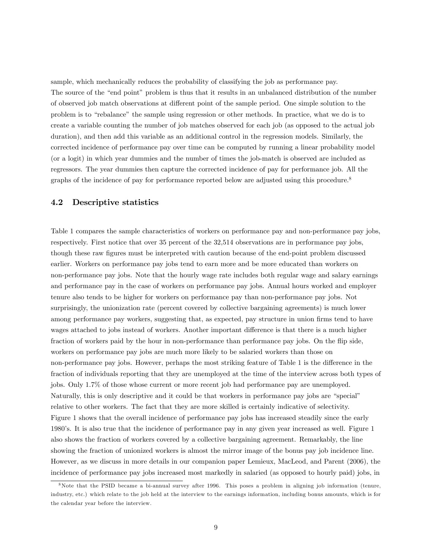sample, which mechanically reduces the probability of classifying the job as performance pay. The source of the "end point" problem is thus that it results in an unbalanced distribution of the number of observed job match observations at different point of the sample period. One simple solution to the problem is to "rebalance" the sample using regression or other methods. In practice, what we do is to create a variable counting the number of job matches observed for each job (as opposed to the actual job duration), and then add this variable as an additional control in the regression models. Similarly, the corrected incidence of performance pay over time can be computed by running a linear probability model (or a logit) in which year dummies and the number of times the job-match is observed are included as regressors. The year dummies then capture the corrected incidence of pay for performance job. All the graphs of the incidence of pay for performance reported below are adjusted using this procedure.<sup>8</sup>

#### 4.2 Descriptive statistics

Table 1 compares the sample characteristics of workers on performance pay and non-performance pay jobs, respectively. First notice that over 35 percent of the 32,514 observations are in performance pay jobs, though these raw figures must be interpreted with caution because of the end-point problem discussed earlier. Workers on performance pay jobs tend to earn more and be more educated than workers on non-performance pay jobs. Note that the hourly wage rate includes both regular wage and salary earnings and performance pay in the case of workers on performance pay jobs. Annual hours worked and employer tenure also tends to be higher for workers on performance pay than non-performance pay jobs. Not surprisingly, the unionization rate (percent covered by collective bargaining agreements) is much lower among performance pay workers, suggesting that, as expected, pay structure in union firms tend to have wages attached to jobs instead of workers. Another important difference is that there is a much higher fraction of workers paid by the hour in non-performance than performance pay jobs. On the flip side, workers on performance pay jobs are much more likely to be salaried workers than those on non-performance pay jobs. However, perhaps the most striking feature of Table 1 is the difference in the fraction of individuals reporting that they are unemployed at the time of the interview across both types of jobs. Only 1.7% of those whose current or more recent job had performance pay are unemployed. Naturally, this is only descriptive and it could be that workers in performance pay jobs are "special" relative to other workers. The fact that they are more skilled is certainly indicative of selectivity. Figure 1 shows that the overall incidence of performance pay jobs has increased steadily since the early 1980ís. It is also true that the incidence of performance pay in any given year increased as well. Figure 1 also shows the fraction of workers covered by a collective bargaining agreement. Remarkably, the line showing the fraction of unionized workers is almost the mirror image of the bonus pay job incidence line. However, as we discuss in more details in our companion paper Lemieux, MacLeod, and Parent (2006), the incidence of performance pay jobs increased most markedly in salaried (as opposed to hourly paid) jobs, in

<sup>8</sup>Note that the PSID became a bi-annual survey after 1996. This poses a problem in aligning job information (tenure, industry, etc.) which relate to the job held at the interview to the earnings information, including bonus amounts, which is for the calendar year before the interview.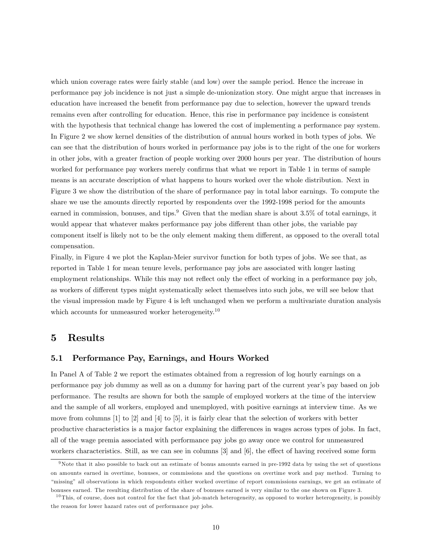which union coverage rates were fairly stable (and low) over the sample period. Hence the increase in performance pay job incidence is not just a simple de-unionization story. One might argue that increases in education have increased the benefit from performance pay due to selection, however the upward trends remains even after controlling for education. Hence, this rise in performance pay incidence is consistent with the hypothesis that technical change has lowered the cost of implementing a performance pay system. In Figure 2 we show kernel densities of the distribution of annual hours worked in both types of jobs. We can see that the distribution of hours worked in performance pay jobs is to the right of the one for workers in other jobs, with a greater fraction of people working over 2000 hours per year. The distribution of hours worked for performance pay workers merely confirms that what we report in Table 1 in terms of sample means is an accurate description of what happens to hours worked over the whole distribution. Next in Figure 3 we show the distribution of the share of performance pay in total labor earnings. To compute the share we use the amounts directly reported by respondents over the 1992-1998 period for the amounts earned in commission, bonuses, and tips.<sup>9</sup> Given that the median share is about  $3.5\%$  of total earnings, it would appear that whatever makes performance pay jobs different than other jobs, the variable pay component itself is likely not to be the only element making them different, as opposed to the overall total compensation.

Finally, in Figure 4 we plot the Kaplan-Meier survivor function for both types of jobs. We see that, as reported in Table 1 for mean tenure levels, performance pay jobs are associated with longer lasting employment relationships. While this may not reflect only the effect of working in a performance pay job, as workers of different types might systematically select themselves into such jobs, we will see below that the visual impression made by Figure 4 is left unchanged when we perform a multivariate duration analysis which accounts for unmeasured worker heterogeneity.<sup>10</sup>

### 5 Results

#### 5.1 Performance Pay, Earnings, and Hours Worked

In Panel A of Table 2 we report the estimates obtained from a regression of log hourly earnings on a performance pay job dummy as well as on a dummy for having part of the current yearís pay based on job performance. The results are shown for both the sample of employed workers at the time of the interview and the sample of all workers, employed and unemployed, with positive earnings at interview time. As we move from columns  $[1]$  to  $[2]$  and  $[4]$  to  $[5]$ , it is fairly clear that the selection of workers with better productive characteristics is a major factor explaining the differences in wages across types of jobs. In fact, all of the wage premia associated with performance pay jobs go away once we control for unmeasured workers characteristics. Still, as we can see in columns  $[3]$  and  $[6]$ , the effect of having received some form

<sup>9</sup>Note that it also possible to back out an estimate of bonus amounts earned in pre-1992 data by using the set of questions on amounts earned in overtime, bonuses, or commissions and the questions on overtime work and pay method. Turning to ìmissingî all observations in which respondents either worked overtime of report commissions earnings, we get an estimate of bonuses earned. The resulting distribution of the share of bonuses earned is very similar to the one shown on Figure 3.

 $10$  This, of course, does not control for the fact that job-match heterogeneity, as opposed to worker heterogeneity, is possibly the reason for lower hazard rates out of performance pay jobs.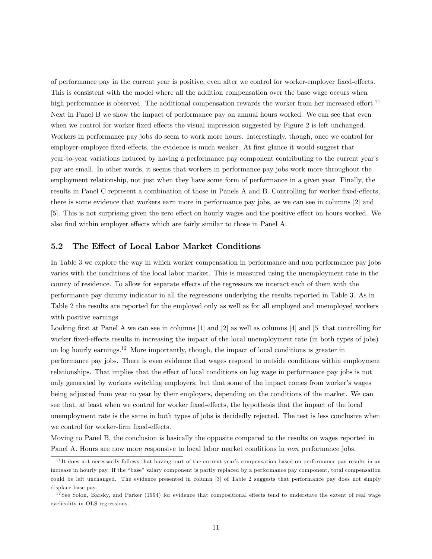of performance pay in the current year is positive, even after we control for worker-employer fixed-effects. This is consistent with the model where all the addition compensation over the base wage occurs when high performance is observed. The additional compensation rewards the worker from her increased effort.<sup>11</sup> Next in Panel B we show the impact of performance pay on annual hours worked. We can see that even when we control for worker fixed effects the visual impression suggested by Figure 2 is left unchanged. Workers in performance pay jobs do seem to work more hours. Interestingly, though, once we control for employer-employee fixed-effects, the evidence is much weaker. At first glance it would suggest that year-to-year variations induced by having a performance pay component contributing to the current yearís pay are small. In other words, it seems that workers in performance pay jobs work more throughout the employment relationship, not just when they have some form of performance in a given year. Finally, the results in Panel C represent a combination of those in Panels A and B. Controlling for worker fixed-effects, there is some evidence that workers earn more in performance pay jobs, as we can see in columns [2] and [5]. This is not surprising given the zero effect on hourly wages and the positive effect on hours worked. We also find within employer effects which are fairly similar to those in Panel A.

#### 5.2 The Effect of Local Labor Market Conditions

In Table 3 we explore the way in which worker compensation in performance and non performance pay jobs varies with the conditions of the local labor market. This is measured using the unemployment rate in the county of residence. To allow for separate effects of the regressors we interact each of them with the performance pay dummy indicator in all the regressions underlying the results reported in Table 3. As in Table 2 the results are reported for the employed only as well as for all employed and unemployed workers with positive earnings

Looking first at Panel A we can see in columns  $[1]$  and  $[2]$  as well as columns  $[4]$  and  $[5]$  that controlling for worker fixed-effects results in increasing the impact of the local unemployment rate (in both types of jobs) on log hourly earnings.<sup>12</sup> More importantly, though, the impact of local conditions is greater in performance pay jobs. There is even evidence that wages respond to outside conditions within employment relationships. That implies that the effect of local conditions on log wage in performance pay jobs is not only generated by workers switching employers, but that some of the impact comes from worker's wages being adjusted from year to year by their employers, depending on the conditions of the market. We can see that, at least when we control for worker fixed-effects, the hypothesis that the impact of the local unemployment rate is the same in both types of jobs is decidedly rejected. The test is less conclusive when we control for worker-firm fixed-effects.

Moving to Panel B, the conclusion is basically the opposite compared to the results on wages reported in Panel A. Hours are now more responsive to local labor market conditions in non performance jobs.

 $11$ It does not necessarily follows that having part of the current year's compensation based on performance pay results in an increase in hourly pay. If the "base" salary component is partly replaced by a performance pay component, total compensation could be left unchanged. The evidence presented in column [3] of Table 2 suggests that performance pay does not simply displace base pay.

 $12$  See Solon, Barsky, and Parker (1994) for evidence that compositional effects tend to understate the extent of real wage cyclicality in OLS regressions.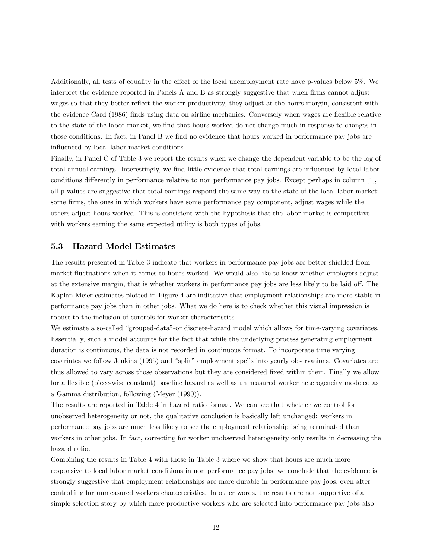Additionally, all tests of equality in the effect of the local unemployment rate have p-values below  $5\%$ . We interpret the evidence reported in Panels A and B as strongly suggestive that when firms cannot adjust wages so that they better reflect the worker productivity, they adjust at the hours margin, consistent with the evidence Card (1986) finds using data on airline mechanics. Conversely when wages are flexible relative to the state of the labor market, we find that hours worked do not change much in response to changes in those conditions. In fact, in Panel B we find no evidence that hours worked in performance pay jobs are influenced by local labor market conditions.

Finally, in Panel C of Table 3 we report the results when we change the dependent variable to be the log of total annual earnings. Interestingly, we find little evidence that total earnings are influenced by local labor conditions differently in performance relative to non performance pay jobs. Except perhaps in column  $[1]$ , all p-values are suggestive that total earnings respond the same way to the state of the local labor market: some firms, the ones in which workers have some performance pay component, adjust wages while the others adjust hours worked. This is consistent with the hypothesis that the labor market is competitive, with workers earning the same expected utility is both types of jobs.

#### 5.3 Hazard Model Estimates

The results presented in Table 3 indicate that workers in performance pay jobs are better shielded from market fluctuations when it comes to hours worked. We would also like to know whether employers adjust at the extensive margin, that is whether workers in performance pay jobs are less likely to be laid off. The Kaplan-Meier estimates plotted in Figure 4 are indicative that employment relationships are more stable in performance pay jobs than in other jobs. What we do here is to check whether this visual impression is robust to the inclusion of controls for worker characteristics.

We estimate a so-called "grouped-data"-or discrete-hazard model which allows for time-varying covariates. Essentially, such a model accounts for the fact that while the underlying process generating employment duration is continuous, the data is not recorded in continuous format. To incorporate time varying covariates we follow Jenkins (1995) and "split" employment spells into yearly observations. Covariates are thus allowed to vary across those observations but they are considered fixed within them. Finally we allow for a flexible (piece-wise constant) baseline hazard as well as unmeasured worker heterogeneity modeled as a Gamma distribution, following (Meyer (1990)).

The results are reported in Table 4 in hazard ratio format. We can see that whether we control for unobserved heterogeneity or not, the qualitative conclusion is basically left unchanged: workers in performance pay jobs are much less likely to see the employment relationship being terminated than workers in other jobs. In fact, correcting for worker unobserved heterogeneity only results in decreasing the hazard ratio.

Combining the results in Table 4 with those in Table 3 where we show that hours are much more responsive to local labor market conditions in non performance pay jobs, we conclude that the evidence is strongly suggestive that employment relationships are more durable in performance pay jobs, even after controlling for unmeasured workers characteristics. In other words, the results are not supportive of a simple selection story by which more productive workers who are selected into performance pay jobs also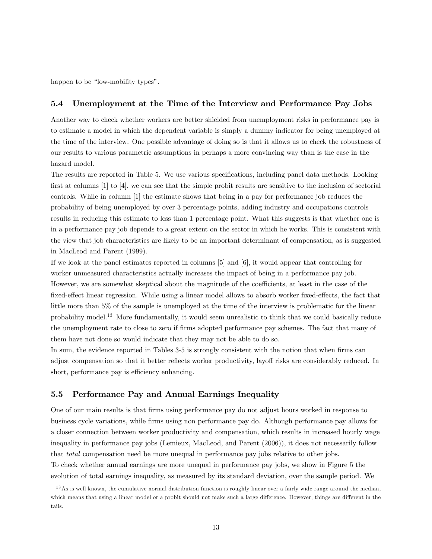happen to be "low-mobility types".

#### 5.4 Unemployment at the Time of the Interview and Performance Pay Jobs

Another way to check whether workers are better shielded from unemployment risks in performance pay is to estimate a model in which the dependent variable is simply a dummy indicator for being unemployed at the time of the interview. One possible advantage of doing so is that it allows us to check the robustness of our results to various parametric assumptions in perhaps a more convincing way than is the case in the hazard model.

The results are reported in Table 5. We use various specifications, including panel data methods. Looking first at columns  $[1]$  to  $[4]$ , we can see that the simple probit results are sensitive to the inclusion of sectorial controls. While in column [1] the estimate shows that being in a pay for performance job reduces the probability of being unemployed by over 3 percentage points, adding industry and occupations controls results in reducing this estimate to less than 1 percentage point. What this suggests is that whether one is in a performance pay job depends to a great extent on the sector in which he works. This is consistent with the view that job characteristics are likely to be an important determinant of compensation, as is suggested in MacLeod and Parent (1999).

If we look at the panel estimates reported in columns [5] and [6], it would appear that controlling for worker unmeasured characteristics actually increases the impact of being in a performance pay job. However, we are somewhat skeptical about the magnitude of the coefficients, at least in the case of the fixed-effect linear regression. While using a linear model allows to absorb worker fixed-effects, the fact that little more than 5% of the sample is unemployed at the time of the interview is problematic for the linear probability model.<sup>13</sup> More fundamentally, it would seem unrealistic to think that we could basically reduce the unemployment rate to close to zero if Örms adopted performance pay schemes. The fact that many of them have not done so would indicate that they may not be able to do so.

In sum, the evidence reported in Tables 3-5 is strongly consistent with the notion that when firms can adjust compensation so that it better reflects worker productivity, layoff risks are considerably reduced. In short, performance pay is efficiency enhancing.

#### 5.5 Performance Pay and Annual Earnings Inequality

One of our main results is that Örms using performance pay do not adjust hours worked in response to business cycle variations, while Örms using non performance pay do. Although performance pay allows for a closer connection between worker productivity and compensation, which results in increased hourly wage inequality in performance pay jobs (Lemieux, MacLeod, and Parent (2006)), it does not necessarily follow that total compensation need be more unequal in performance pay jobs relative to other jobs. To check whether annual earnings are more unequal in performance pay jobs, we show in Figure 5 the evolution of total earnings inequality, as measured by its standard deviation, over the sample period. We

 $13$ As is well known, the cumulative normal distribution function is roughly linear over a fairly wide range around the median, which means that using a linear model or a probit should not make such a large difference. However, things are different in the tails.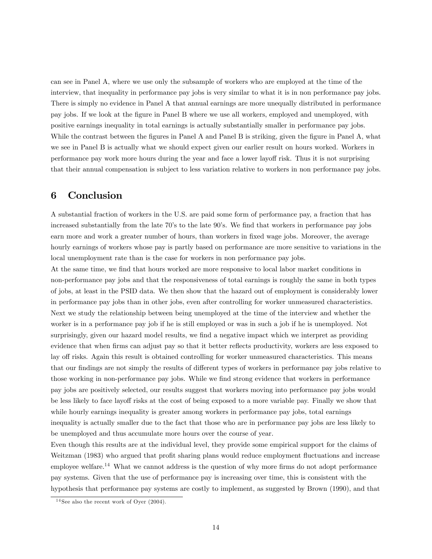can see in Panel A, where we use only the subsample of workers who are employed at the time of the interview, that inequality in performance pay jobs is very similar to what it is in non performance pay jobs. There is simply no evidence in Panel A that annual earnings are more unequally distributed in performance pay jobs. If we look at the Ögure in Panel B where we use all workers, employed and unemployed, with positive earnings inequality in total earnings is actually substantially smaller in performance pay jobs. While the contrast between the figures in Panel A and Panel B is striking, given the figure in Panel A, what we see in Panel B is actually what we should expect given our earlier result on hours worked. Workers in performance pay work more hours during the year and face a lower layoff risk. Thus it is not surprising that their annual compensation is subject to less variation relative to workers in non performance pay jobs.

## 6 Conclusion

A substantial fraction of workers in the U.S. are paid some form of performance pay, a fraction that has increased substantially from the late 70's to the late 90's. We find that workers in performance pay jobs earn more and work a greater number of hours, than workers in fixed wage jobs. Moreover, the average hourly earnings of workers whose pay is partly based on performance are more sensitive to variations in the local unemployment rate than is the case for workers in non performance pay jobs.

At the same time, we find that hours worked are more responsive to local labor market conditions in non-performance pay jobs and that the responsiveness of total earnings is roughly the same in both types of jobs, at least in the PSID data. We then show that the hazard out of employment is considerably lower in performance pay jobs than in other jobs, even after controlling for worker unmeasured characteristics. Next we study the relationship between being unemployed at the time of the interview and whether the worker is in a performance pay job if he is still employed or was in such a job if he is unemployed. Not surprisingly, given our hazard model results, we find a negative impact which we interpret as providing evidence that when firms can adjust pay so that it better reflects productivity, workers are less exposed to lay off risks. Again this result is obtained controlling for worker unmeasured characteristics. This means that our findings are not simply the results of different types of workers in performance pay jobs relative to those working in non-performance pay jobs. While we find strong evidence that workers in performance pay jobs are positively selected, our results suggest that workers moving into performance pay jobs would be less likely to face layoff risks at the cost of being exposed to a more variable pay. Finally we show that while hourly earnings inequality is greater among workers in performance pay jobs, total earnings inequality is actually smaller due to the fact that those who are in performance pay jobs are less likely to be unemployed and thus accumulate more hours over the course of year.

Even though this results are at the individual level, they provide some empirical support for the claims of Weitzman (1983) who argued that profit sharing plans would reduce employment fluctuations and increase employee welfare.<sup>14</sup> What we cannot address is the question of why more firms do not adopt performance pay systems. Given that the use of performance pay is increasing over time, this is consistent with the hypothesis that performance pay systems are costly to implement, as suggested by Brown (1990), and that

 $14$  See also the recent work of Oyer (2004).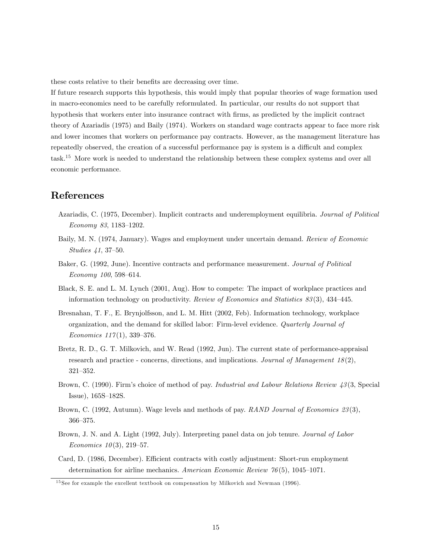these costs relative to their benefits are decreasing over time.

If future research supports this hypothesis, this would imply that popular theories of wage formation used in macro-economics need to be carefully reformulated. In particular, our results do not support that hypothesis that workers enter into insurance contract with firms, as predicted by the implicit contract theory of Azariadis (1975) and Baily (1974). Workers on standard wage contracts appear to face more risk and lower incomes that workers on performance pay contracts. However, as the management literature has repeatedly observed, the creation of a successful performance pay is system is a difficult and complex task.<sup>15</sup> More work is needed to understand the relationship between these complex systems and over all economic performance.

## References

- Azariadis, C. (1975, December). Implicit contracts and underemployment equilibria. Journal of Political Economy 83, 1183-1202.
- Baily, M. N. (1974, January). Wages and employment under uncertain demand. Review of Economic Studies  $41, 37-50.$
- Baker, G. (1992, June). Incentive contracts and performance measurement. Journal of Political Economy 100, 598-614.
- Black, S. E. and L. M. Lynch (2001, Aug). How to compete: The impact of workplace practices and information technology on productivity. Review of Economics and Statistics  $83(3)$ , 434-445.
- Bresnahan, T. F., E. Brynjolfsson, and L. M. Hitt (2002, Feb). Information technology, workplace organization, and the demand for skilled labor: Firm-level evidence. Quarterly Journal of Economics  $117(1)$ , 339-376.
- Bretz, R. D., G. T. Milkovich, and W. Read (1992, Jun). The current state of performance-appraisal research and practice - concerns, directions, and implications. Journal of Management  $18(2)$ , 321-352.
- Brown, C. (1990). Firm's choice of method of pay. Industrial and Labour Relations Review 43(3, Special Issue),  $165S-182S$ .
- Brown, C. (1992, Autumn). Wage levels and methods of pay. RAND Journal of Economics 23(3), 366-375.
- Brown, J. N. and A. Light (1992, July). Interpreting panel data on job tenure. Journal of Labor Economics  $10(3)$ , 219–57.
- Card, D. (1986, December). Efficient contracts with costly adjustment: Short-run employment determination for airline mechanics. American Economic Review  $76(5)$ , 1045–1071.

<sup>&</sup>lt;sup>15</sup> See for example the excellent textbook on compensation by Milkovich and Newman (1996).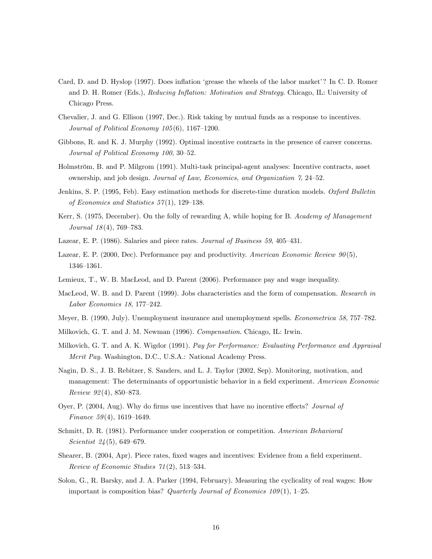- Card, D. and D. Hyslop (1997). Does inflation 'grease the wheels of the labor market'? In C. D. Romer and D. H. Romer (Eds.), *Reducing Inflation: Motivation and Strategy*. Chicago, IL: University of Chicago Press.
- Chevalier, J. and G. Ellison (1997, Dec.). Risk taking by mutual funds as a response to incentives. Journal of Political Economy  $105(6)$ , 1167-1200.
- Gibbons, R. and K. J. Murphy (1992). Optimal incentive contracts in the presence of career concerns. Journal of Political Economy 100, 30-52.
- Holmström, B. and P. Milgrom (1991). Multi-task principal-agent analyses: Incentive contracts, asset ownership, and job design. Journal of Law, Economics, and Organization 7, 24–52.
- Jenkins, S. P. (1995, Feb). Easy estimation methods for discrete-time duration models. Oxford Bulletin of Economics and Statistics  $57(1)$ , 129–138.
- Kerr, S. (1975, December). On the folly of rewarding A, while hoping for B. Academy of Management Journal  $18(4)$ , 769–783.
- Lazear, E. P. (1986). Salaries and piece rates. Journal of Business 59, 405-431.
- Lazear, E. P. (2000, Dec). Performance pay and productivity. American Economic Review  $90(5)$ , 1346-1361.
- Lemieux, T., W. B. MacLeod, and D. Parent (2006). Performance pay and wage inequality.
- MacLeod, W. B. and D. Parent (1999). Jobs characteristics and the form of compensation. Research in Labor Economics 18, 177-242.
- Meyer, B. (1990, July). Unemployment insurance and unemployment spells. *Econometrica 58*, 757–782.
- Milkovich, G. T. and J. M. Newman (1996). Compensation. Chicago, IL: Irwin.
- Milkovich, G. T. and A. K. Wigdor (1991). Pay for Performance: Evaluating Performance and Appraisal Merit Pay. Washington, D.C., U.S.A.: National Academy Press.
- Nagin, D. S., J. B. Rebitzer, S. Sanders, and L. J. Taylor (2002, Sep). Monitoring, motivation, and management: The determinants of opportunistic behavior in a field experiment. American Economic  $Review 92(4), 850-873.$
- Oyer, P.  $(2004, Aug)$ . Why do firms use incentives that have no incentive effects? *Journal of* Finance  $59(4)$ , 1619–1649.
- Schmitt, D. R. (1981). Performance under cooperation or competition. American Behavioral Scientist  $24(5)$ , 649–679.
- Shearer, B. (2004, Apr). Piece rates, fixed wages and incentives: Evidence from a field experiment. Review of Economic Studies  $71(2)$ , 513-534.
- Solon, G., R. Barsky, and J. A. Parker (1994, February). Measuring the cyclicality of real wages: How important is composition bias? Quarterly Journal of Economics  $109(1)$ , 1–25.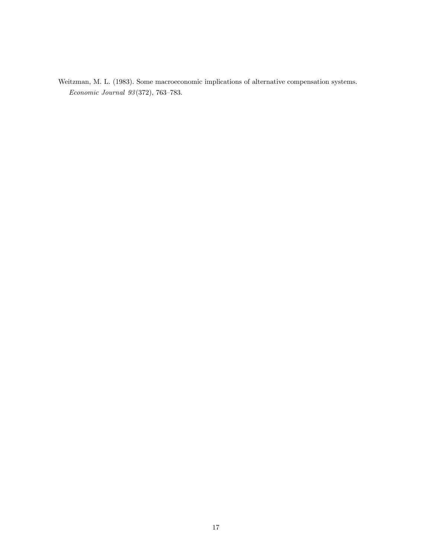Weitzman, M. L. (1983). Some macroeconomic implications of alternative compensation systems.  $Economic\ Journal\ 93 (372),\ 763–783.$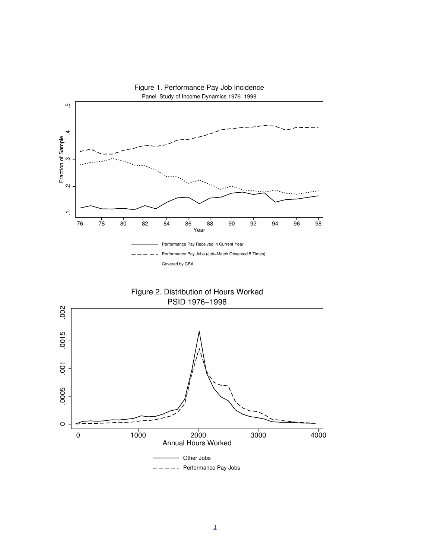

Figure 1. Performance Pay Job Incidence

Figure 2. Distribution of Hours Worked

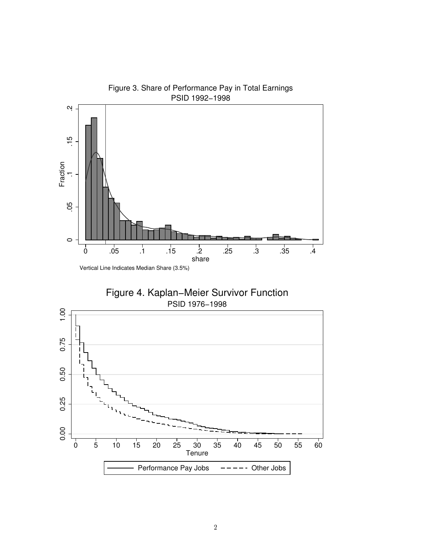

PSID 1976−1998 Figure 4. Kaplan−Meier Survivor Function



Figure 3. Share of Performance Pay in Total Earnings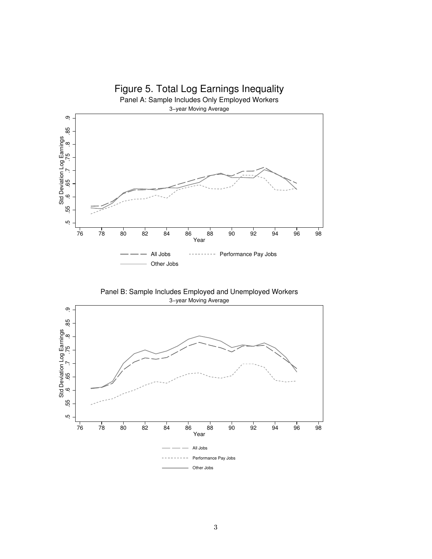

## Figure 5. Total Log Earnings Inequality

3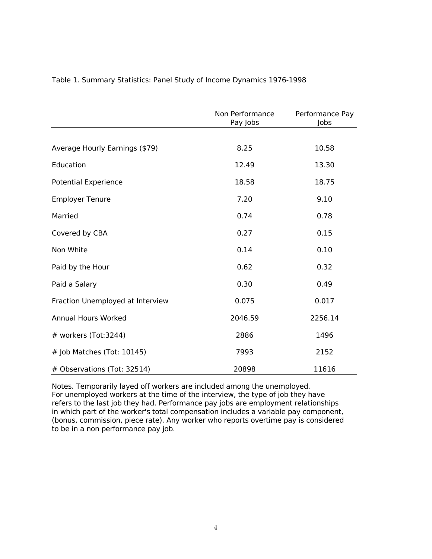|                                  | Non Performance<br>Pay Jobs | Performance Pay<br>Jobs |
|----------------------------------|-----------------------------|-------------------------|
|                                  |                             |                         |
| Average Hourly Earnings (\$79)   | 8.25                        | 10.58                   |
| Education                        | 12.49                       | 13.30                   |
| <b>Potential Experience</b>      | 18.58                       | 18.75                   |
| <b>Employer Tenure</b>           | 7.20                        | 9.10                    |
| Married                          | 0.74                        | 0.78                    |
| Covered by CBA                   | 0.27                        | 0.15                    |
| Non White                        | 0.14                        | 0.10                    |
| Paid by the Hour                 | 0.62                        | 0.32                    |
| Paid a Salary                    | 0.30                        | 0.49                    |
| Fraction Unemployed at Interview | 0.075                       | 0.017                   |
| Annual Hours Worked              | 2046.59                     | 2256.14                 |
| # workers (Tot:3244)             | 2886                        | 1496                    |
| # Job Matches (Tot: 10145)       | 7993                        | 2152                    |
| # Observations (Tot: 32514)      | 20898                       | 11616                   |

## Table 1. Summary Statistics: Panel Study of Income Dynamics 1976-1998

Notes. Temporarily layed off workers are included among the unemployed. For unemployed workers at the time of the interview, the type of job they have refers to the last job they had. Performance pay jobs are employment relationships in which part of the worker's total compensation includes a variable pay component, (bonus, commission, piece rate). Any worker who reports overtime pay is considered to be in a non performance pay job.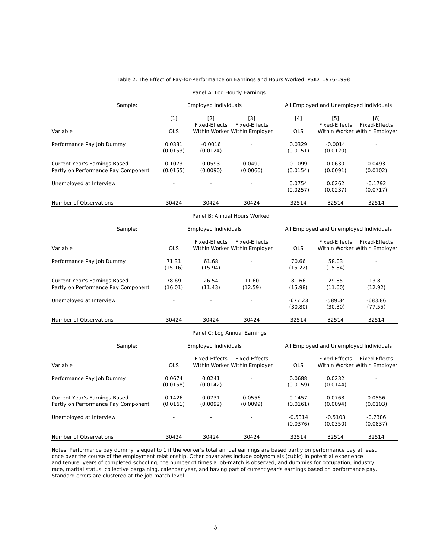| Sample:                                                              | Employed Individuals |                              | All Employed and Unemployed Individuals        |                                         |                       |                                                |
|----------------------------------------------------------------------|----------------------|------------------------------|------------------------------------------------|-----------------------------------------|-----------------------|------------------------------------------------|
|                                                                      | [1]                  | [2]<br>Fixed-Effects         | [3]<br>Fixed-Effects                           | $[4]$                                   | [5]<br>Fixed-Effects  | [6]<br>Fixed-Effects                           |
| Variable                                                             | <b>OLS</b>           |                              | Within Worker Within Employer                  | <b>OLS</b>                              |                       | Within Worker Within Employer                  |
| Performance Pay Job Dummy                                            | 0.0331<br>(0.0153)   | $-0.0016$<br>(0.0124)        |                                                | 0.0329<br>(0.0151)                      | $-0.0014$<br>(0.0120) |                                                |
| Current Year's Earnings Based<br>Partly on Performance Pay Component | 0.1073<br>(0.0155)   | 0.0593<br>(0.0090)           | 0.0499<br>(0.0060)                             | 0.1099<br>(0.0154)                      | 0.0630<br>(0.0091)    | 0.0493<br>(0.0102)                             |
| Unemployed at Interview                                              |                      |                              |                                                | 0.0754<br>(0.0257)                      | 0.0262<br>(0.0237)    | $-0.1792$<br>(0.0717)                          |
| Number of Observations                                               | 30424                | 30424                        | 30424                                          | 32514                                   | 32514                 | 32514                                          |
|                                                                      |                      |                              | Panel B: Annual Hours Worked                   |                                         |                       |                                                |
| Sample:                                                              | Employed Individuals |                              |                                                | All Employed and Unemployed Individuals |                       |                                                |
| Variable                                                             | <b>OLS</b>           | Fixed-Effects                | Fixed-Effects<br>Within Worker Within Employer | <b>OLS</b>                              | Fixed-Effects         | Fixed-Effects<br>Within Worker Within Employer |
| Performance Pay Job Dummy                                            | 71.31<br>(15.16)     | 61.68<br>(15.94)             |                                                | 70.66<br>(15.22)                        | 58.03<br>(15.84)      |                                                |
| Current Year's Earnings Based<br>Partly on Performance Pay Component | 78.69<br>(16.01)     | 26.54<br>(11.43)             | 11.60<br>(12.59)                               | 81.66<br>(15.98)                        | 29.85<br>(11.60)      | 13.81<br>(12.92)                               |
| Unemployed at Interview                                              |                      |                              |                                                | $-677.23$<br>(30.80)                    | $-589.34$<br>(30.30)  | $-683.86$<br>(77.55)                           |
| Number of Observations                                               | 30424                | 30424                        | 30424                                          | 32514                                   | 32514                 | 32514                                          |
|                                                                      |                      | Panel C: Log Annual Earnings |                                                |                                         |                       |                                                |
| Sample:                                                              | Employed Individuals |                              | All Employed and Unemployed Individuals        |                                         |                       |                                                |
| Variable                                                             | <b>OLS</b>           | Fixed-Effects                | Fixed-Effects<br>Within Worker Within Employer | <b>OLS</b>                              | Fixed-Effects         | Fixed-Effects<br>Within Worker Within Employer |
| Performance Pay Job Dummy                                            | 0.0674<br>(0.0158)   | 0.0241<br>(0.0142)           |                                                | 0.0688<br>(0.0159)                      | 0.0232<br>(0.0144)    |                                                |
| Current Year's Earnings Based<br>Partly on Performance Pay Component | 0.1426<br>(0.0161)   | 0.0731<br>(0.0092)           | 0.0556<br>(0.0099)                             | 0.1457<br>(0.0161)                      | 0.0768<br>(0.0094)    | 0.0556<br>(0.0103)                             |
| Unemployed at Interview                                              |                      |                              |                                                | $-0.5314$<br>(0.0376)                   | $-0.5103$<br>(0.0350) | $-0.7386$<br>(0.0837)                          |
| Number of Observations                                               | 30424                | 30424                        | 30424                                          | 32514                                   | 32514                 | 32514                                          |

#### Table 2. The Effect of Pay-for-Performance on Earnings and Hours Worked: PSID, 1976-1998

Panel A: Log Hourly Earnings

Notes. Performance pay dummy is equal to 1 if the worker's total annual earnings are based partly on performance pay at least once over the course of the employment relationship. Other covariates include polynomials (cubic) in potential experience and tenure, years of completed schooling, the number of times a job-match is observed, and dummies for occupation, industry, race, marital status, collective bargaining, calendar year, and having part of current year's earnings based on performance pay. Standard errors are clustered at the job-match level.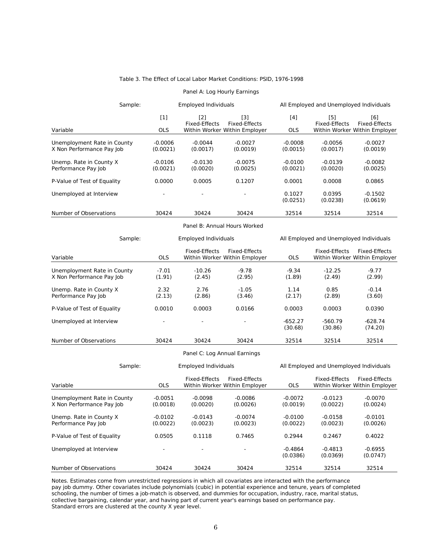| Sample:                                                  |                          | Employed Individuals  |                                                       | All Employed and Unemployed Individuals |                       |                                                       |
|----------------------------------------------------------|--------------------------|-----------------------|-------------------------------------------------------|-----------------------------------------|-----------------------|-------------------------------------------------------|
| Variable                                                 | [1]<br><b>OLS</b>        | [2]<br>Fixed-Effects  | [3]<br>Fixed-Effects<br>Within Worker Within Employer | [4]<br><b>OLS</b>                       | [5]<br>Fixed-Effects  | [6]<br>Fixed-Effects<br>Within Worker Within Employer |
| Unemployment Rate in County<br>X Non Performance Pay Job | $-0.0006$<br>(0.0021)    | $-0.0044$<br>(0.0017) | $-0.0027$<br>(0.0019)                                 | $-0.0008$<br>(0.0015)                   | $-0.0056$<br>(0.0017) | $-0.0027$<br>(0.0019)                                 |
| Unemp. Rate in County X<br>Performance Pay Job           | $-0.0106$<br>(0.0021)    | $-0.0130$<br>(0.0020) | $-0.0075$<br>(0.0025)                                 | $-0.0100$<br>(0.0021)                   | $-0.0139$<br>(0.0020) | $-0.0082$<br>(0.0025)                                 |
| P-Value of Test of Equality                              | 0.0000                   | 0.0005                | 0.1207                                                | 0.0001                                  | 0.0008                | 0.0865                                                |
| Unemployed at Interview                                  | $\overline{\phantom{a}}$ |                       |                                                       | 0.1027<br>(0.0251)                      | 0.0395<br>(0.0238)    | $-0.1502$<br>(0.0619)                                 |
| Number of Observations                                   | 30424                    | 30424                 | 30424                                                 | 32514                                   | 32514                 | 32514                                                 |

#### Table 3. The Effect of Local Labor Market Conditions: PSID, 1976-1998

Panel A: Log Hourly Earnings

## Panel B: Annual Hours Worked

| Sample:                                                  |                   | Employed Individuals | All Employed and Unemployed Individuals        |                      |                      |                                                |
|----------------------------------------------------------|-------------------|----------------------|------------------------------------------------|----------------------|----------------------|------------------------------------------------|
| Variable                                                 | <b>OLS</b>        | Fixed-Effects        | Fixed-Effects<br>Within Worker Within Employer | <b>OLS</b>           | Fixed-Effects        | Fixed-Effects<br>Within Worker Within Employer |
| Unemployment Rate in County<br>X Non Performance Pay Job | $-7.01$<br>(1.91) | $-10.26$<br>(2.45)   | $-9.78$<br>(2.95)                              | $-9.34$<br>(1.89)    | $-12.25$<br>(2.49)   | $-9.77$<br>(2.99)                              |
| Unemp. Rate in County X<br>Performance Pay Job           | 2.32<br>(2.13)    | 2.76<br>(2.86)       | $-1.05$<br>(3.46)                              | 1.14<br>(2.17)       | 0.85<br>(2.89)       | $-0.14$<br>(3.60)                              |
| P-Value of Test of Equality                              | 0.0010            | 0.0003               | 0.0166                                         | 0.0003               | 0.0003               | 0.0390                                         |
| Unemployed at Interview                                  |                   |                      |                                                | $-652.27$<br>(30.68) | $-560.79$<br>(30.86) | $-628.74$<br>(74.20)                           |
| Number of Observations                                   | 30424             | 30424                | 30424                                          | 32514                | 32514                | 32514                                          |

#### Panel C: Log Annual Earnings

| Sample:                                                  |                          | Employed Individuals                                            |                       |                       | All Employed and Unemployed Individuals |                                                |  |
|----------------------------------------------------------|--------------------------|-----------------------------------------------------------------|-----------------------|-----------------------|-----------------------------------------|------------------------------------------------|--|
| Variable                                                 | <b>OLS</b>               | Fixed-Effects<br>Fixed-Effects<br>Within Worker Within Employer |                       |                       | Fixed-Effects                           | Fixed-Effects<br>Within Worker Within Employer |  |
| Unemployment Rate in County<br>X Non Performance Pay Job | $-0.0051$<br>(0.0018)    | $-0.0098$<br>(0.0020)                                           | $-0.0086$<br>(0.0026) | $-0.0072$<br>(0.0019) | $-0.0123$<br>(0.0022)                   | $-0.0070$<br>(0.0024)                          |  |
| Unemp. Rate in County X<br>Performance Pay Job           | $-0.0102$<br>(0.0022)    | $-0.0143$<br>(0.0023)                                           | $-0.0074$<br>(0.0023) | $-0.0100$<br>(0.0022) | $-0.0158$<br>(0.0023)                   | $-0.0101$<br>(0.0026)                          |  |
| P-Value of Test of Equality                              | 0.0505                   | 0.1118                                                          | 0.7465                | 0.2944                | 0.2467                                  | 0.4022                                         |  |
| Unemployed at Interview                                  | $\overline{\phantom{a}}$ |                                                                 |                       | $-0.4864$<br>(0.0386) | $-0.4813$<br>(0.0369)                   | $-0.6955$<br>(0.0747)                          |  |
| Number of Observations                                   | 30424                    | 30424                                                           | 30424                 | 32514                 | 32514                                   | 32514                                          |  |

Notes. Estimates come from unrestricted regressions in which all covariates are interacted with the performance pay job dummy. Other covariates include polynomials (cubic) in potential experience and tenure, years of completed schooling, the number of times a job-match is observed, and dummies for occupation, industry, race, marital status, collective bargaining, calendar year, and having part of current year's earnings based on performance pay.<br>Standard errors are clustered at the county X year level.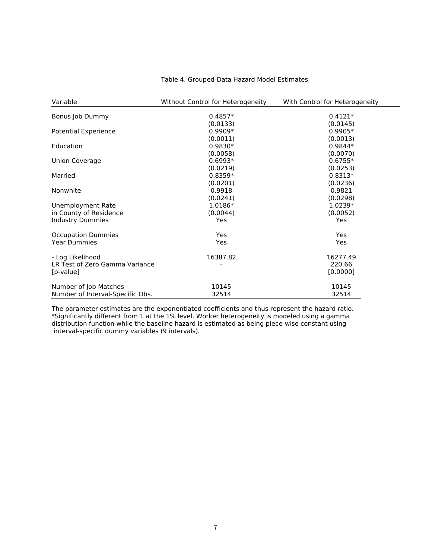| Variable                         | Without Control for Heterogeneity | With Control for Heterogeneity |
|----------------------------------|-----------------------------------|--------------------------------|
| Bonus Job Dummy                  | $0.4857*$                         | $0.4121*$                      |
|                                  | (0.0133)                          | (0.0145)                       |
| <b>Potential Experience</b>      | $0.9909*$                         | $0.9905*$                      |
|                                  | (0.0011)                          | (0.0013)                       |
| Education                        | $0.9830*$                         | $0.9844*$                      |
|                                  | (0.0058)                          | (0.0070)                       |
| Union Coverage                   | $0.6993*$                         | $0.6755*$                      |
|                                  | (0.0219)                          | (0.0253)                       |
| Married                          | $0.8359*$                         | $0.8313*$                      |
|                                  | (0.0201)                          | (0.0236)                       |
| Nonwhite                         | 0.9918                            | 0.9821                         |
|                                  | (0.0241)                          | (0.0298)                       |
| Unemployment Rate                | 1.0186*                           | 1.0239*                        |
| in County of Residence           | (0.0044)                          | (0.0052)                       |
| Industry Dummies                 | <b>Yes</b>                        | Yes                            |
| <b>Occupation Dummies</b>        | Yes                               | Yes                            |
| <b>Year Dummies</b>              | Yes                               | Yes                            |
| - Log Likelihood                 | 16387.82                          | 16277.49                       |
| LR Test of Zero Gamma Variance   |                                   | 220.66                         |
| [p-value]                        |                                   | [0.0000]                       |
| Number of Job Matches            | 10145                             | 10145                          |
| Number of Interval-Specific Obs. | 32514                             | 32514                          |

The parameter estimates are the exponentiated coefficients and thus represent the hazard ratio.<br>\*Significantly different from 1 at the 1% level. Worker heterogeneity is modeled using a gamma distribution function while the baseline hazard is estimated as being piece-wise constant using interval-specific dummy variables (9 intervals).